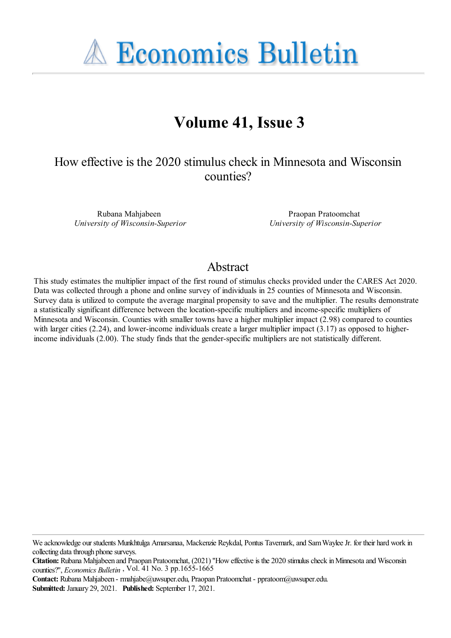**A Economics Bulletin** 

# **Volume 41, Issue 3**

# How effective is the 2020 stimulus check in Minnesota and Wisconsin counties?

Rubana Mahjabeen *University of Wisconsin-Superior*

Praopan Pratoomchat *University of Wisconsin-Superior*

#### Abstract

This study estimates the multiplier impact of the first round of stimulus checks provided under the CARES Act 2020. Data was collected through a phone and online survey of individuals in 25 counties of Minnesota and Wisconsin. Survey data is utilized to compute the average marginal propensity to save and the multiplier. The results demonstrate a statistically significant difference between the location-specific multipliers and income-specific multipliers of Minnesota and Wisconsin. Counties with smaller towns have a higher multiplier impact (2.98) compared to counties with larger cities (2.24), and lower-income individuals create a larger multiplier impact (3.17) as opposed to higherincome individuals (2.00). The study finds that the gender-specific multipliers are not statistically different.

**Contact:** Rubana Mahjabeen - rmahjabe@uwsuper.edu, Praopan Pratoomchat - ppratoom@uwsuper.edu. **Submitted:** January 29, 2021. **Published:** September 17, 2021.

We acknowledge our students Munkhtulga Amarsanaa, Mackenzie Reykdal, Pontus Tavemark, and Sam Waylee Jr. for their hard work in collecting data through phone surveys.

**Citation:** Rubana Mahjabeen and Praopan Pratoomchat, (2021) "How effective is the 2020 stimulus check in Minnesota and Wisconsin counties?'', *Economics Bulletin* , Vol. 41 No. 3 pp.1655-1665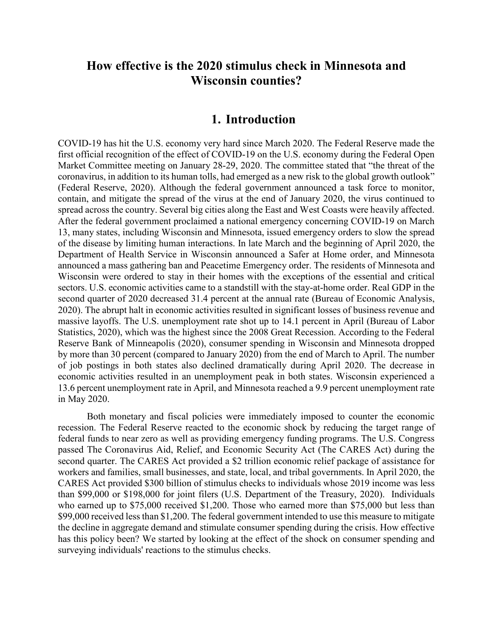## **How effective is the 2020 stimulus check in Minnesota and Wisconsin counties?**

#### **1. Introduction**

COVID-19 has hit the U.S. economy very hard since March 2020. The Federal Reserve made the first official recognition of the effect of COVID-19 on the U.S. economy during the Federal Open Market Committee meeting on January 28-29, 2020. The committee stated that "the threat of the coronavirus, in addition to its human tolls, had emerged as a new risk to the global growth outlook" (Federal Reserve, 2020). Although the federal government announced a task force to monitor, contain, and mitigate the spread of the virus at the end of January 2020, the virus continued to spread across the country. Several big cities along the East and West Coasts were heavily affected. After the federal government proclaimed a national emergency concerning COVID-19 on March 13, many states, including Wisconsin and Minnesota, issued emergency orders to slow the spread of the disease by limiting human interactions. In late March and the beginning of April 2020, the Department of Health Service in Wisconsin announced a Safer at Home order, and Minnesota announced a mass gathering ban and Peacetime Emergency order. The residents of Minnesota and Wisconsin were ordered to stay in their homes with the exceptions of the essential and critical sectors. U.S. economic activities came to a standstill with the stay-at-home order. Real GDP in the second quarter of 2020 decreased 31.4 percent at the annual rate (Bureau of Economic Analysis, 2020). The abrupt halt in economic activities resulted in significant losses of business revenue and massive layoffs. The U.S. unemployment rate shot up to 14.1 percent in April (Bureau of Labor Statistics, 2020), which was the highest since the 2008 Great Recession. According to the Federal Reserve Bank of Minneapolis (2020), consumer spending in Wisconsin and Minnesota dropped by more than 30 percent (compared to January 2020) from the end of March to April. The number of job postings in both states also declined dramatically during April 2020. The decrease in economic activities resulted in an unemployment peak in both states. Wisconsin experienced a 13.6 percent unemployment rate in April, and Minnesota reached a 9.9 percent unemployment rate in May 2020.

Both monetary and fiscal policies were immediately imposed to counter the economic recession. The Federal Reserve reacted to the economic shock by reducing the target range of federal funds to near zero as well as providing emergency funding programs. The U.S. Congress passed The Coronavirus Aid, Relief, and Economic Security Act (The CARES Act) during the second quarter. The CARES Act provided a \$2 trillion economic relief package of assistance for workers and families, small businesses, and state, local, and tribal governments. In April 2020, the CARES Act provided \$300 billion of stimulus checks to individuals whose 2019 income was less than \$99,000 or \$198,000 for joint filers (U.S. Department of the Treasury, 2020). Individuals who earned up to \$75,000 received \$1,200. Those who earned more than \$75,000 but less than \$99,000 received less than \$1,200. The federal government intended to use this measure to mitigate the decline in aggregate demand and stimulate consumer spending during the crisis. How effective has this policy been? We started by looking at the effect of the shock on consumer spending and surveying individuals' reactions to the stimulus checks.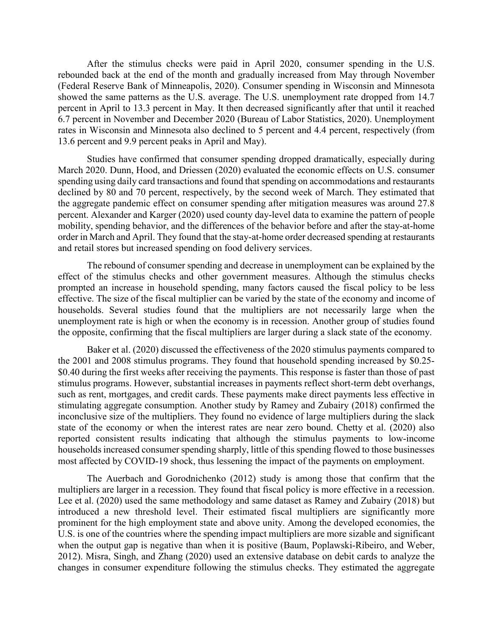After the stimulus checks were paid in April 2020, consumer spending in the U.S. rebounded back at the end of the month and gradually increased from May through November (Federal Reserve Bank of Minneapolis, 2020). Consumer spending in Wisconsin and Minnesota showed the same patterns as the U.S. average. The U.S. unemployment rate dropped from 14.7 percent in April to 13.3 percent in May. It then decreased significantly after that until it reached 6.7 percent in November and December 2020 (Bureau of Labor Statistics, 2020). Unemployment rates in Wisconsin and Minnesota also declined to 5 percent and 4.4 percent, respectively (from 13.6 percent and 9.9 percent peaks in April and May).

Studies have confirmed that consumer spending dropped dramatically, especially during March 2020. Dunn, Hood, and Driessen (2020) evaluated the economic effects on U.S. consumer spending using daily card transactions and found that spending on accommodations and restaurants declined by 80 and 70 percent, respectively, by the second week of March. They estimated that the aggregate pandemic effect on consumer spending after mitigation measures was around 27.8 percent. Alexander and Karger (2020) used county day-level data to examine the pattern of people mobility, spending behavior, and the differences of the behavior before and after the stay-at-home order in March and April. They found that the stay-at-home order decreased spending at restaurants and retail stores but increased spending on food delivery services.

The rebound of consumer spending and decrease in unemployment can be explained by the effect of the stimulus checks and other government measures. Although the stimulus checks prompted an increase in household spending, many factors caused the fiscal policy to be less effective. The size of the fiscal multiplier can be varied by the state of the economy and income of households. Several studies found that the multipliers are not necessarily large when the unemployment rate is high or when the economy is in recession. Another group of studies found the opposite, confirming that the fiscal multipliers are larger during a slack state of the economy.

Baker et al. (2020) discussed the effectiveness of the 2020 stimulus payments compared to the 2001 and 2008 stimulus programs. They found that household spending increased by \$0.25- \$0.40 during the first weeks after receiving the payments. This response is faster than those of past stimulus programs. However, substantial increases in payments reflect short-term debt overhangs, such as rent, mortgages, and credit cards. These payments make direct payments less effective in stimulating aggregate consumption. Another study by Ramey and Zubairy (2018) confirmed the inconclusive size of the multipliers. They found no evidence of large multipliers during the slack state of the economy or when the interest rates are near zero bound. Chetty et al. (2020) also reported consistent results indicating that although the stimulus payments to low-income households increased consumer spending sharply, little of this spending flowed to those businesses most affected by COVID-19 shock, thus lessening the impact of the payments on employment.

The Auerbach and Gorodnichenko (2012) study is among those that confirm that the multipliers are larger in a recession. They found that fiscal policy is more effective in a recession. Lee et al. (2020) used the same methodology and same dataset as Ramey and Zubairy (2018) but introduced a new threshold level. Their estimated fiscal multipliers are significantly more prominent for the high employment state and above unity. Among the developed economies, the U.S. is one of the countries where the spending impact multipliers are more sizable and significant when the output gap is negative than when it is positive (Baum, Poplawski-Ribeiro, and Weber, 2012). Misra, Singh, and Zhang (2020) used an extensive database on debit cards to analyze the changes in consumer expenditure following the stimulus checks. They estimated the aggregate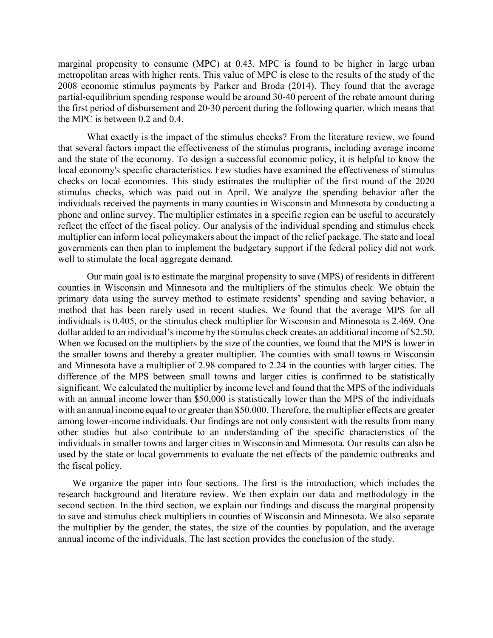marginal propensity to consume (MPC) at 0.43. MPC is found to be higher in large urban metropolitan areas with higher rents. This value of MPC is close to the results of the study of the 2008 economic stimulus payments by Parker and Broda (2014). They found that the average partial-equilibrium spending response would be around 30-40 percent of the rebate amount during the first period of disbursement and 20-30 percent during the following quarter, which means that the MPC is between 0.2 and 0.4.

What exactly is the impact of the stimulus checks? From the literature review, we found that several factors impact the effectiveness of the stimulus programs, including average income and the state of the economy. To design a successful economic policy, it is helpful to know the local economy's specific characteristics. Few studies have examined the effectiveness of stimulus checks on local economies. This study estimates the multiplier of the first round of the 2020 stimulus checks, which was paid out in April. We analyze the spending behavior after the individuals received the payments in many counties in Wisconsin and Minnesota by conducting a phone and online survey. The multiplier estimates in a specific region can be useful to accurately reflect the effect of the fiscal policy. Our analysis of the individual spending and stimulus check multiplier can inform local policymakers about the impact of the relief package. The state and local governments can then plan to implement the budgetary support if the federal policy did not work well to stimulate the local aggregate demand.

Our main goal is to estimate the marginal propensity to save (MPS) of residents in different counties in Wisconsin and Minnesota and the multipliers of the stimulus check. We obtain the primary data using the survey method to estimate residents' spending and saving behavior, a method that has been rarely used in recent studies. We found that the average MPS for all individuals is 0.405, or the stimulus check multiplier for Wisconsin and Minnesota is 2.469. One dollar added to an individual's income by the stimulus check creates an additional income of \$2.50. When we focused on the multipliers by the size of the counties, we found that the MPS is lower in the smaller towns and thereby a greater multiplier. The counties with small towns in Wisconsin and Minnesota have a multiplier of 2.98 compared to 2.24 in the counties with larger cities. The difference of the MPS between small towns and larger cities is confirmed to be statistically significant. We calculated the multiplier by income level and found that the MPS of the individuals with an annual income lower than \$50,000 is statistically lower than the MPS of the individuals with an annual income equal to or greater than \$50,000. Therefore, the multiplier effects are greater among lower-income individuals. Our findings are not only consistent with the results from many other studies but also contribute to an understanding of the specific characteristics of the individuals in smaller towns and larger cities in Wisconsin and Minnesota. Our results can also be used by the state or local governments to evaluate the net effects of the pandemic outbreaks and the fiscal policy.

We organize the paper into four sections. The first is the introduction, which includes the research background and literature review. We then explain our data and methodology in the second section. In the third section, we explain our findings and discuss the marginal propensity to save and stimulus check multipliers in counties of Wisconsin and Minnesota. We also separate the multiplier by the gender, the states, the size of the counties by population, and the average annual income of the individuals. The last section provides the conclusion of the study.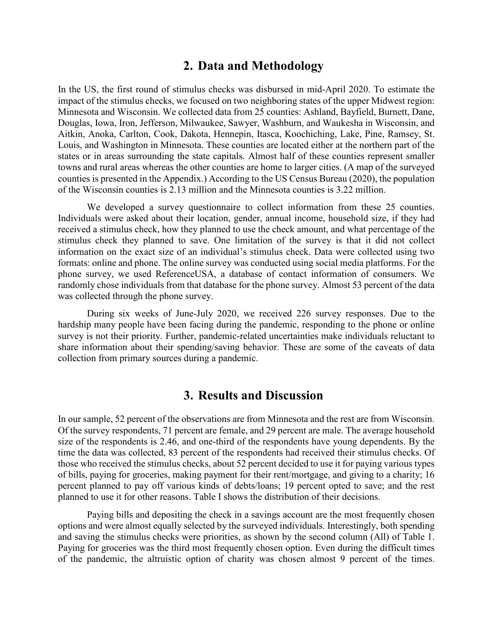#### **2. Data and Methodology**

In the US, the first round of stimulus checks was disbursed in mid-April 2020. To estimate the impact of the stimulus checks, we focused on two neighboring states of the upper Midwest region: Minnesota and Wisconsin. We collected data from 25 counties: Ashland, Bayfield, Burnett, Dane, Douglas, Iowa, Iron, Jefferson, Milwaukee, Sawyer, Washburn, and Waukesha in Wisconsin, and Aitkin, Anoka, Carlton, Cook, Dakota, Hennepin, Itasca, Koochiching, Lake, Pine, Ramsey, St. Louis, and Washington in Minnesota. These counties are located either at the northern part of the states or in areas surrounding the state capitals. Almost half of these counties represent smaller towns and rural areas whereas the other counties are home to larger cities. (A map of the surveyed counties is presented in the Appendix.) According to the US Census Bureau (2020), the population of the Wisconsin counties is 2.13 million and the Minnesota counties is 3.22 million.

We developed a survey questionnaire to collect information from these 25 counties. Individuals were asked about their location, gender, annual income, household size, if they had received a stimulus check, how they planned to use the check amount, and what percentage of the stimulus check they planned to save. One limitation of the survey is that it did not collect information on the exact size of an individual's stimulus check. Data were collected using two formats: online and phone. The online survey was conducted using social media platforms. For the phone survey, we used ReferenceUSA, a database of contact information of consumers. We randomly chose individuals from that database for the phone survey. Almost 53 percent of the data was collected through the phone survey.

During six weeks of June-July 2020, we received 226 survey responses. Due to the hardship many people have been facing during the pandemic, responding to the phone or online survey is not their priority. Further, pandemic-related uncertainties make individuals reluctant to share information about their spending/saving behavior. These are some of the caveats of data collection from primary sources during a pandemic.

#### **3. Results and Discussion**

In our sample, 52 percent of the observations are from Minnesota and the rest are from Wisconsin. Of the survey respondents, 71 percent are female, and 29 percent are male. The average household size of the respondents is 2.46, and one-third of the respondents have young dependents. By the time the data was collected, 83 percent of the respondents had received their stimulus checks. Of those who received the stimulus checks, about 52 percent decided to use it for paying various types of bills, paying for groceries, making payment for their rent/mortgage, and giving to a charity; 16 percent planned to pay off various kinds of debts/loans; 19 percent opted to save; and the rest planned to use it for other reasons. Table I shows the distribution of their decisions.

Paying bills and depositing the check in a savings account are the most frequently chosen options and were almost equally selected by the surveyed individuals. Interestingly, both spending and saving the stimulus checks were priorities, as shown by the second column (All) of Table 1. Paying for groceries was the third most frequently chosen option. Even during the difficult times of the pandemic, the altruistic option of charity was chosen almost 9 percent of the times.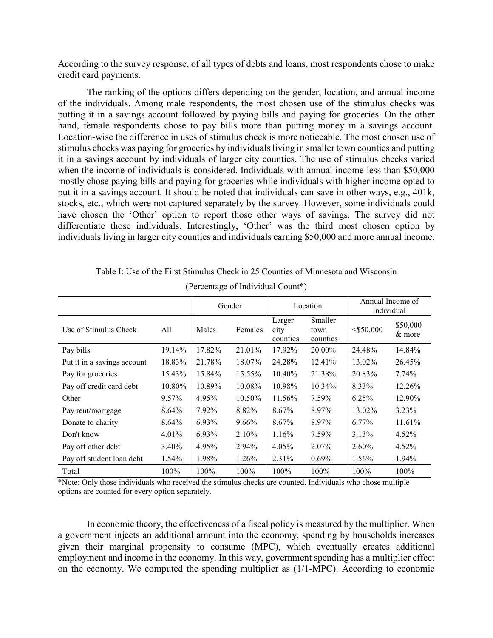According to the survey response, of all types of debts and loans, most respondents chose to make credit card payments.

The ranking of the options differs depending on the gender, location, and annual income of the individuals. Among male respondents, the most chosen use of the stimulus checks was putting it in a savings account followed by paying bills and paying for groceries. On the other hand, female respondents chose to pay bills more than putting money in a savings account. Location-wise the difference in uses of stimulus check is more noticeable. The most chosen use of stimulus checks was paying for groceries by individuals living in smaller town counties and putting it in a savings account by individuals of larger city counties. The use of stimulus checks varied when the income of individuals is considered. Individuals with annual income less than \$50,000 mostly chose paying bills and paying for groceries while individuals with higher income opted to put it in a savings account. It should be noted that individuals can save in other ways, e.g., 401k, stocks, etc., which were not captured separately by the survey. However, some individuals could have chosen the 'Other' option to report those other ways of savings. The survey did not differentiate those individuals. Interestingly, 'Other' was the third most chosen option by individuals living in larger city counties and individuals earning \$50,000 and more annual income.

|                             |          | Gender |          | Location                   |                             | Annual Income of<br>Individual |                    |
|-----------------------------|----------|--------|----------|----------------------------|-----------------------------|--------------------------------|--------------------|
| Use of Stimulus Check       | All      | Males  | Females  | Larger<br>city<br>counties | Smaller<br>town<br>counties | $<$ \$50,000                   | \$50,000<br>& more |
| Pay bills                   | 19.14%   | 17.82% | 21.01%   | 17.92%                     | 20.00%                      | 24.48%                         | 14.84%             |
| Put it in a savings account | 18.83%   | 21.78% | 18.07%   | 24.28%                     | 12.41%                      | 13.02%                         | 26.45%             |
| Pay for groceries           | 15.43%   | 15.84% | 15.55%   | 10.40%                     | 21.38%                      | 20.83%                         | 7.74%              |
| Pay off credit card debt    | 10.80%   | 10.89% | 10.08%   | 10.98%                     | 10.34%                      | 8.33%                          | 12.26%             |
| Other                       | $9.57\%$ | 4.95%  | 10.50%   | 11.56%                     | 7.59%                       | 6.25%                          | 12.90%             |
| Pay rent/mortgage           | 8.64%    | 7.92%  | 8.82%    | 8.67%                      | 8.97%                       | 13.02%                         | 3.23%              |
| Donate to charity           | 8.64%    | 6.93%  | $9.66\%$ | 8.67%                      | 8.97%                       | 6.77%                          | 11.61%             |
| Don't know                  | $4.01\%$ | 6.93%  | $2.10\%$ | 1.16%                      | 7.59%                       | 3.13%                          | 4.52%              |
| Pay off other debt          | 3.40%    | 4.95%  | 2.94%    | 4.05%                      | 2.07%                       | 2.60%                          | 4.52%              |
| Pay off student loan debt   | $1.54\%$ | 1.98%  | 1.26%    | 2.31%                      | $0.69\%$                    | 1.56%                          | 1.94%              |
| Total                       | 100%     | 100%   | $100\%$  | 100%                       | 100%                        | 100%                           | 100%               |

Table I: Use of the First Stimulus Check in 25 Counties of Minnesota and Wisconsin

(Percentage of Individual Count\*)

\*Note: Only those individuals who received the stimulus checks are counted. Individuals who chose multiple options are counted for every option separately.

In economic theory, the effectiveness of a fiscal policy is measured by the multiplier. When a government injects an additional amount into the economy, spending by households increases given their marginal propensity to consume (MPC), which eventually creates additional employment and income in the economy. In this way, government spending has a multiplier effect on the economy. We computed the spending multiplier as (1/1-MPC). According to economic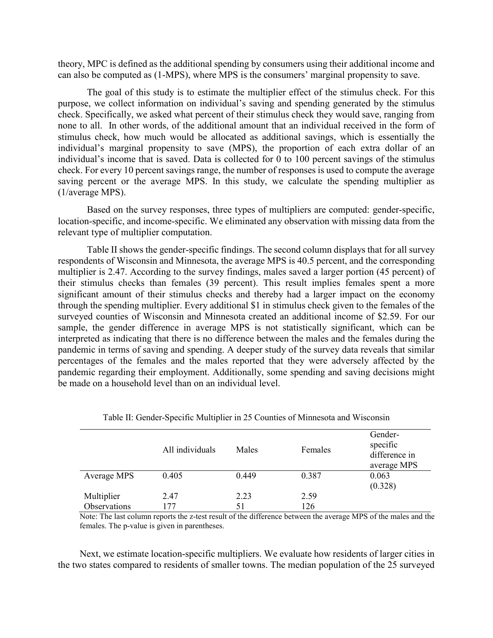theory, MPC is defined as the additional spending by consumers using their additional income and can also be computed as (1-MPS), where MPS is the consumers' marginal propensity to save.

The goal of this study is to estimate the multiplier effect of the stimulus check. For this purpose, we collect information on individual's saving and spending generated by the stimulus check. Specifically, we asked what percent of their stimulus check they would save, ranging from none to all. In other words, of the additional amount that an individual received in the form of stimulus check, how much would be allocated as additional savings, which is essentially the individual's marginal propensity to save (MPS), the proportion of each extra dollar of an individual's income that is saved. Data is collected for 0 to 100 percent savings of the stimulus check. For every 10 percent savings range, the number of responses is used to compute the average saving percent or the average MPS. In this study, we calculate the spending multiplier as (1/average MPS).

Based on the survey responses, three types of multipliers are computed: gender-specific, location-specific, and income-specific. We eliminated any observation with missing data from the relevant type of multiplier computation.

Table II shows the gender-specific findings. The second column displays that for all survey respondents of Wisconsin and Minnesota, the average MPS is 40.5 percent, and the corresponding multiplier is 2.47. According to the survey findings, males saved a larger portion (45 percent) of their stimulus checks than females (39 percent). This result implies females spent a more significant amount of their stimulus checks and thereby had a larger impact on the economy through the spending multiplier. Every additional \$1 in stimulus check given to the females of the surveyed counties of Wisconsin and Minnesota created an additional income of \$2.59. For our sample, the gender difference in average MPS is not statistically significant, which can be interpreted as indicating that there is no difference between the males and the females during the pandemic in terms of saving and spending. A deeper study of the survey data reveals that similar percentages of the females and the males reported that they were adversely affected by the pandemic regarding their employment. Additionally, some spending and saving decisions might be made on a household level than on an individual level.

|                            | All individuals | Males      | Females     | Gender-<br>specific<br>difference in<br>average MPS |
|----------------------------|-----------------|------------|-------------|-----------------------------------------------------|
| Average MPS                | 0.405           | 0.449      | 0.387       | 0.063<br>(0.328)                                    |
| Multiplier<br>Observations | 2.47<br>177     | 2.23<br>51 | 2.59<br>126 |                                                     |

Note: The last column reports the z-test result of the difference between the average MPS of the males and the females. The p-value is given in parentheses.

Next, we estimate location-specific multipliers. We evaluate how residents of larger cities in the two states compared to residents of smaller towns. The median population of the 25 surveyed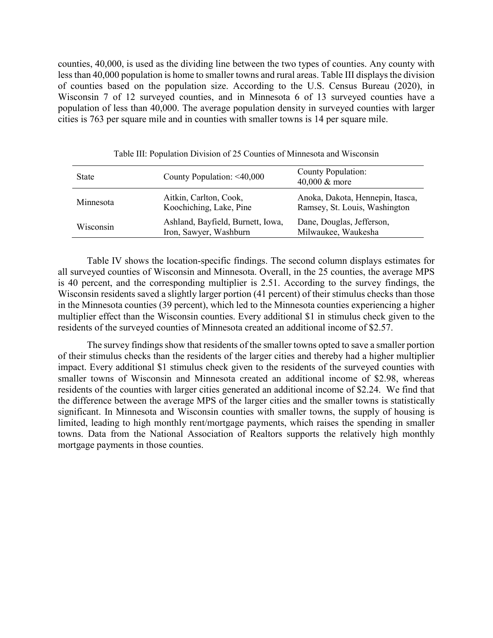counties, 40,000, is used as the dividing line between the two types of counties. Any county with less than 40,000 population is home to smaller towns and rural areas. Table III displays the division of counties based on the population size. According to the U.S. Census Bureau (2020), in Wisconsin 7 of 12 surveyed counties, and in Minnesota 6 of 13 surveyed counties have a population of less than 40,000. The average population density in surveyed counties with larger cities is 763 per square mile and in counties with smaller towns is 14 per square mile.

| <b>State</b> | County Population: $\leq 40,000$                            | <b>County Population:</b><br>40,000 & more                        |
|--------------|-------------------------------------------------------------|-------------------------------------------------------------------|
| Minnesota    | Aitkin, Carlton, Cook,<br>Koochiching, Lake, Pine           | Anoka, Dakota, Hennepin, Itasca,<br>Ramsey, St. Louis, Washington |
| Wisconsin    | Ashland, Bayfield, Burnett, Iowa,<br>Iron, Sawyer, Washburn | Dane, Douglas, Jefferson,<br>Milwaukee, Waukesha                  |

Table III: Population Division of 25 Counties of Minnesota and Wisconsin

Table IV shows the location-specific findings. The second column displays estimates for all surveyed counties of Wisconsin and Minnesota. Overall, in the 25 counties, the average MPS is 40 percent, and the corresponding multiplier is 2.51. According to the survey findings, the Wisconsin residents saved a slightly larger portion (41 percent) of their stimulus checks than those in the Minnesota counties (39 percent), which led to the Minnesota counties experiencing a higher multiplier effect than the Wisconsin counties. Every additional \$1 in stimulus check given to the residents of the surveyed counties of Minnesota created an additional income of \$2.57.

The survey findings show that residents of the smaller towns opted to save a smaller portion of their stimulus checks than the residents of the larger cities and thereby had a higher multiplier impact. Every additional \$1 stimulus check given to the residents of the surveyed counties with smaller towns of Wisconsin and Minnesota created an additional income of \$2.98, whereas residents of the counties with larger cities generated an additional income of \$2.24. We find that the difference between the average MPS of the larger cities and the smaller towns is statistically significant. In Minnesota and Wisconsin counties with smaller towns, the supply of housing is limited, leading to high monthly rent/mortgage payments, which raises the spending in smaller towns. Data from the National Association of Realtors supports the relatively high monthly mortgage payments in those counties.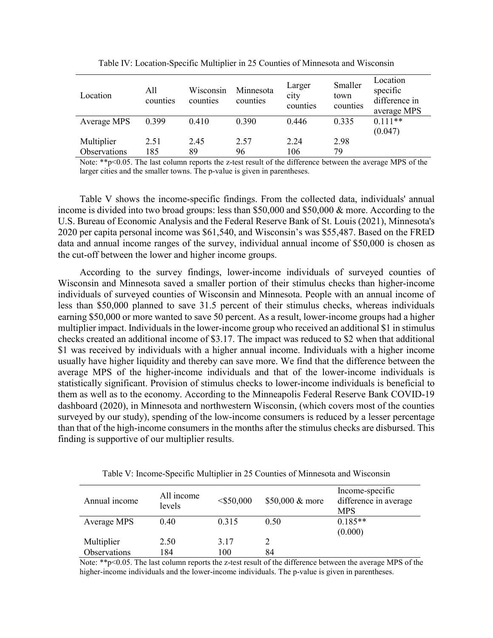| Location                   | All<br>counties | Wisconsin<br>counties | Minnesota<br>counties | Larger<br>city<br>counties | Smaller<br>town<br>counties | Location<br>specific<br>difference in<br>average MPS |
|----------------------------|-----------------|-----------------------|-----------------------|----------------------------|-----------------------------|------------------------------------------------------|
| Average MPS                | 0.399           | 0.410                 | 0.390                 | 0.446                      | 0.335                       | $0.111**$<br>(0.047)                                 |
| Multiplier<br>Observations | 2.51<br>185     | 2.45<br>89            | 2.57<br>96            | 2.24<br>106                | 2.98<br>79                  |                                                      |

Table IV: Location-Specific Multiplier in 25 Counties of Minnesota and Wisconsin

Note: \*\*p<0.05. The last column reports the z-test result of the difference between the average MPS of the larger cities and the smaller towns. The p-value is given in parentheses.

Table V shows the income-specific findings. From the collected data, individuals' annual income is divided into two broad groups: less than \$50,000 and \$50,000 & more. According to the U.S. Bureau of Economic Analysis and the Federal Reserve Bank of St. Louis (2021), Minnesota's 2020 per capita personal income was \$61,540, and Wisconsin's was \$55,487. Based on the FRED data and annual income ranges of the survey, individual annual income of \$50,000 is chosen as the cut-off between the lower and higher income groups.

According to the survey findings, lower-income individuals of surveyed counties of Wisconsin and Minnesota saved a smaller portion of their stimulus checks than higher-income individuals of surveyed counties of Wisconsin and Minnesota. People with an annual income of less than \$50,000 planned to save 31.5 percent of their stimulus checks, whereas individuals earning \$50,000 or more wanted to save 50 percent. As a result, lower-income groups had a higher multiplier impact. Individuals in the lower-income group who received an additional \$1 in stimulus checks created an additional income of \$3.17. The impact was reduced to \$2 when that additional \$1 was received by individuals with a higher annual income. Individuals with a higher income usually have higher liquidity and thereby can save more. We find that the difference between the average MPS of the higher-income individuals and that of the lower-income individuals is statistically significant. Provision of stimulus checks to lower-income individuals is beneficial to them as well as to the economy. According to the Minneapolis Federal Reserve Bank COVID-19 dashboard (2020), in Minnesota and northwestern Wisconsin, (which covers most of the counties surveyed by our study), spending of the low-income consumers is reduced by a lesser percentage than that of the high-income consumers in the months after the stimulus checks are disbursed. This finding is supportive of our multiplier results.

| Annual income | All income<br>levels | $<$ \$50,000 | \$50,000 & more | Income-specific<br>difference in average<br><b>MPS</b> |
|---------------|----------------------|--------------|-----------------|--------------------------------------------------------|
| Average MPS   | 0.40                 | 0.315        | 0.50            | $0.185**$                                              |
|               |                      |              |                 | (0.000)                                                |
| Multiplier    | 2.50                 | 3.17         |                 |                                                        |
| Observations  | 184                  | 100          | 84              |                                                        |

Table V: Income-Specific Multiplier in 25 Counties of Minnesota and Wisconsin

Note: \*\*p<0.05. The last column reports the z-test result of the difference between the average MPS of the higher-income individuals and the lower-income individuals. The p-value is given in parentheses.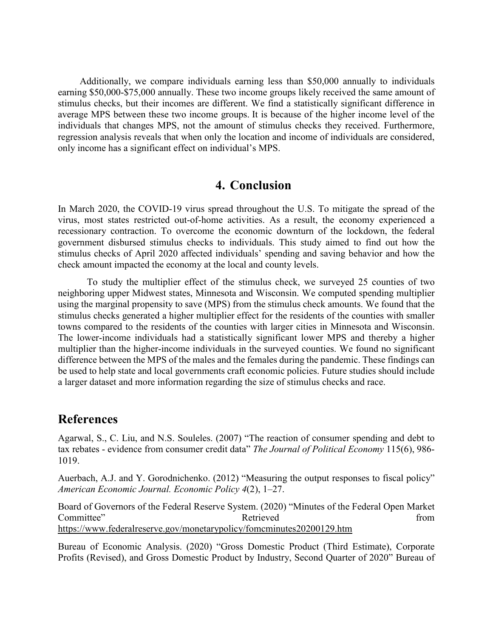Additionally, we compare individuals earning less than \$50,000 annually to individuals earning \$50,000-\$75,000 annually. These two income groups likely received the same amount of stimulus checks, but their incomes are different. We find a statistically significant difference in average MPS between these two income groups. It is because of the higher income level of the individuals that changes MPS, not the amount of stimulus checks they received. Furthermore, regression analysis reveals that when only the location and income of individuals are considered, only income has a significant effect on individual's MPS.

## **4. Conclusion**

In March 2020, the COVID-19 virus spread throughout the U.S. To mitigate the spread of the virus, most states restricted out-of-home activities. As a result, the economy experienced a recessionary contraction. To overcome the economic downturn of the lockdown, the federal government disbursed stimulus checks to individuals. This study aimed to find out how the stimulus checks of April 2020 affected individuals' spending and saving behavior and how the check amount impacted the economy at the local and county levels.

To study the multiplier effect of the stimulus check, we surveyed 25 counties of two neighboring upper Midwest states, Minnesota and Wisconsin. We computed spending multiplier using the marginal propensity to save (MPS) from the stimulus check amounts. We found that the stimulus checks generated a higher multiplier effect for the residents of the counties with smaller towns compared to the residents of the counties with larger cities in Minnesota and Wisconsin. The lower-income individuals had a statistically significant lower MPS and thereby a higher multiplier than the higher-income individuals in the surveyed counties. We found no significant difference between the MPS of the males and the females during the pandemic. These findings can be used to help state and local governments craft economic policies. Future studies should include a larger dataset and more information regarding the size of stimulus checks and race.

## **References**

Agarwal, S., C. Liu, and N.S. Souleles. (2007) "The reaction of consumer spending and debt to tax rebates - evidence from consumer credit data" *The Journal of Political Economy* 115(6), 986- 1019.

Auerbach, A.J. and Y. Gorodnichenko. (2012) "Measuring the output responses to fiscal policy" *American Economic Journal. Economic Policy 4*(2), 1–27.

Board of Governors of the Federal Reserve System. (2020) "Minutes of the Federal Open Market Committee" Retrieved From <https://www.federalreserve.gov/monetarypolicy/fomcminutes20200129.htm>

Bureau of Economic Analysis. (2020) "Gross Domestic Product (Third Estimate), Corporate Profits (Revised), and Gross Domestic Product by Industry, Second Quarter of 2020" Bureau of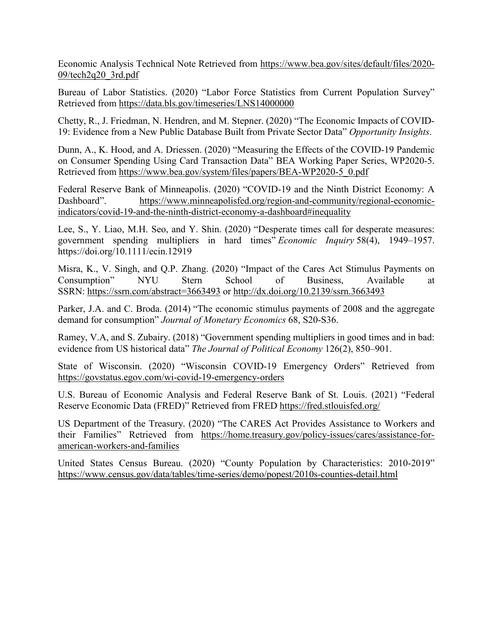Economic Analysis Technical Note Retrieved from [https://www.bea.gov/sites/default/files/2020-](https://www.bea.gov/sites/default/files/2020-09/tech2q20_3rd.pdf) [09/tech2q20\\_3rd.pdf](https://www.bea.gov/sites/default/files/2020-09/tech2q20_3rd.pdf) 

Bureau of Labor Statistics. (2020) "Labor Force Statistics from Current Population Survey" Retrieved from<https://data.bls.gov/timeseries/LNS14000000>

Chetty, R., J. Friedman, N. Hendren, and M. Stepner. (2020) "The Economic Impacts of COVID-19: Evidence from a New Public Database Built from Private Sector Data" *Opportunity Insights*.

Dunn, A., K. Hood, and A. Driessen. (2020) "Measuring the Effects of the COVID-19 Pandemic on Consumer Spending Using Card Transaction Data" BEA Working Paper Series, WP2020-5. Retrieved from [https://www.bea.gov/system/files/papers/BEA-WP2020-5\\_0.pdf](https://www.bea.gov/system/files/papers/BEA-WP2020-5_0.pdf) 

Federal Reserve Bank of Minneapolis. (2020) "COVID-19 and the Ninth District Economy: A Dashboard". [https://www.minneapolisfed.org/region-and-community/regional-economic](https://www.minneapolisfed.org/region-and-community/regional-economic-indicators/covid-19-and-the-ninth-district-economy-a-dashboard#inequality)[indicators/covid-19-and-the-ninth-district-economy-a-dashboard#inequality](https://www.minneapolisfed.org/region-and-community/regional-economic-indicators/covid-19-and-the-ninth-district-economy-a-dashboard#inequality) 

Lee, S., Y. Liao, M.H. Seo, and Y. Shin. (2020) "Desperate times call for desperate measures: government spending multipliers in hard times" *Economic Inquiry* 58(4), 1949–1957. https://doi.org/10.1111/ecin.12919

Misra, K., V. Singh, and Q.P. Zhang. (2020) "Impact of the Cares Act Stimulus Payments on Consumption" NYU Stern School of Business, Available at SSRN: <https://ssrn.com/abstract=3663493>or<http://dx.doi.org/10.2139/ssrn.3663493>

Parker, J.A. and C. Broda. (2014) "The economic stimulus payments of 2008 and the aggregate demand for consumption" *Journal of Monetary Economics* 68, S20-S36.

Ramey, V.A, and S. Zubairy. (2018) "Government spending multipliers in good times and in bad: evidence from US historical data" *The Journal of Political Economy* 126(2), 850–901.

State of Wisconsin. (2020) "Wisconsin COVID-19 Emergency Orders" Retrieved from <https://govstatus.egov.com/wi-covid-19-emergency-orders>

U.S. Bureau of Economic Analysis and Federal Reserve Bank of St. Louis. (2021) "Federal Reserve Economic Data (FRED)" Retrieved from FRED<https://fred.stlouisfed.org/>

US Department of the Treasury. (2020) "The CARES Act Provides Assistance to Workers and their Families" Retrieved from [https://home.treasury.gov/policy-issues/cares/assistance-for](https://home.treasury.gov/policy-issues/cares/assistance-for-american-workers-and-families)[american-workers-and-families](https://home.treasury.gov/policy-issues/cares/assistance-for-american-workers-and-families)

United States Census Bureau. (2020) "County Population by Characteristics: 2010-2019" <https://www.census.gov/data/tables/time-series/demo/popest/2010s-counties-detail.html>